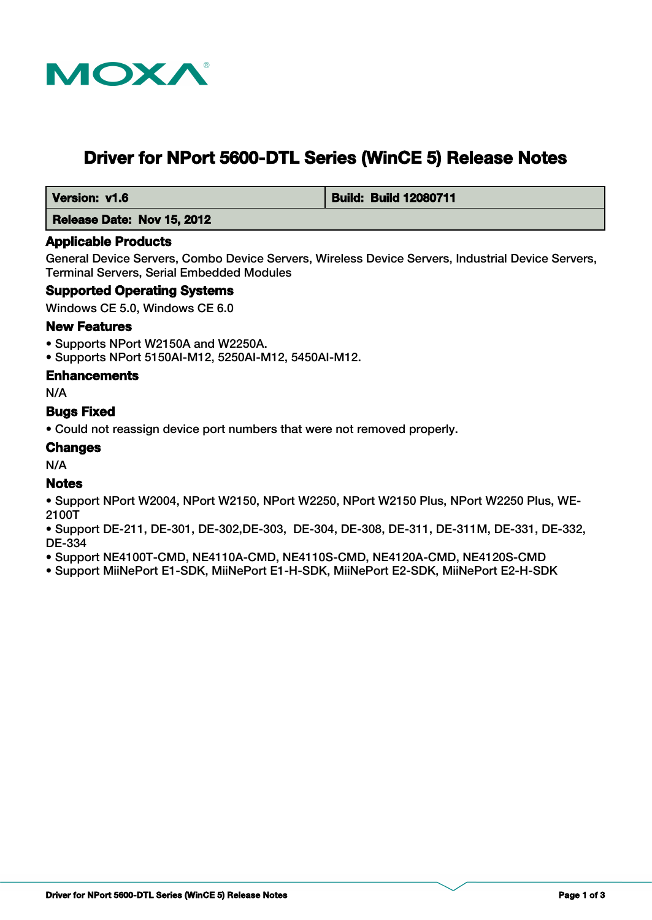

# **Driver for NPort 5600-DTL Series (WinCE 5) Release Notes**

 **Version: v1.6 Build: Build: Build 12080711** 

 **Release Date: Nov 15, 2012**

#### **Applicable Products**

General Device Servers, Combo Device Servers, Wireless Device Servers, Industrial Device Servers, Terminal Servers, Serial Embedded Modules

#### **Supported Operating Systems**

Windows CE 5.0, Windows CE 6.0

#### **New Features**

- Supports NPort W2150A and W2250A.
- Supports NPort 5150AI-M12, 5250AI-M12, 5450AI-M12.

#### **Enhancements**

N/A

#### **Bugs Fixed**

• Could not reassign device port numbers that were not removed properly.

#### **Changes**

N/A

#### **Notes**

- Support NPort W2004, NPort W2150, NPort W2250, NPort W2150 Plus, NPort W2250 Plus, WE-2100T
- Support DE-211, DE-301, DE-302,DE-303, DE-304, DE-308, DE-311, DE-311M, DE-331, DE-332, DE-334
- Support NE4100T-CMD, NE4110A-CMD, NE4110S-CMD, NE4120A-CMD, NE4120S-CMD
- Support MiiNePort E1-SDK, MiiNePort E1-H-SDK, MiiNePort E2-SDK, MiiNePort E2-H-SDK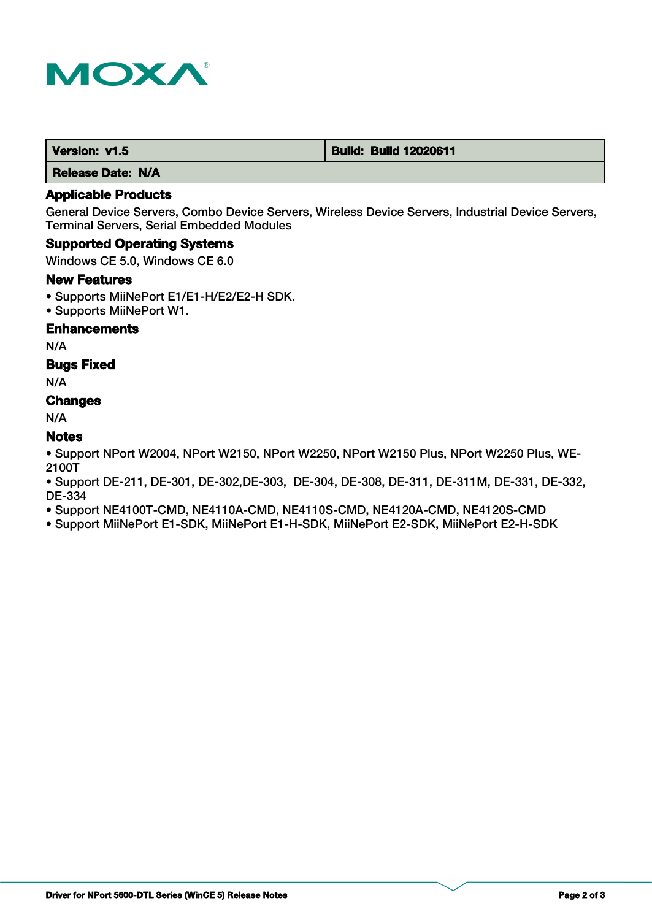

| Version: v1.5 | <b>Build: Build 12020611</b> |
|---------------|------------------------------|
|---------------|------------------------------|

 **Release Date: N/A**

# **Applicable Products**

General Device Servers, Combo Device Servers, Wireless Device Servers, Industrial Device Servers, Terminal Servers, Serial Embedded Modules

#### **Supported Operating Systems**

Windows CE 5.0, Windows CE 6.0

#### **New Features**

- Supports MiiNePort E1/E1-H/E2/E2-H SDK.
- Supports MiiNePort W1.

#### **Enhancements**

N/A

#### **Bugs Fixed**

N/A

# **Changes**

N/A

# **Notes**

• Support NPort W2004, NPort W2150, NPort W2250, NPort W2150 Plus, NPort W2250 Plus, WE-2100T

• Support DE-211, DE-301, DE-302,DE-303, DE-304, DE-308, DE-311, DE-311M, DE-331, DE-332, DE-334

• Support NE4100T-CMD, NE4110A-CMD, NE4110S-CMD, NE4120A-CMD, NE4120S-CMD

• Support MiiNePort E1-SDK, MiiNePort E1-H-SDK, MiiNePort E2-SDK, MiiNePort E2-H-SDK